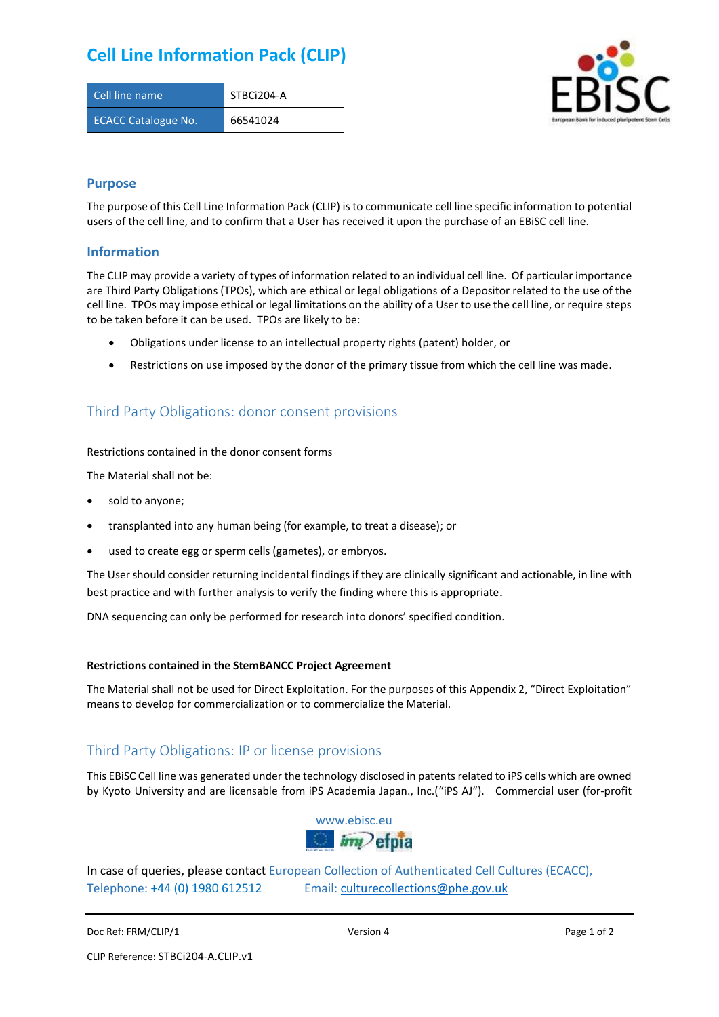# **Cell Line Information Pack (CLIP)**

| Cell line name             | STBCi204-A |
|----------------------------|------------|
| <b>ECACC Catalogue No.</b> | 66541024   |



### **Purpose**

The purpose of this Cell Line Information Pack (CLIP) is to communicate cell line specific information to potential users of the cell line, and to confirm that a User has received it upon the purchase of an EBiSC cell line.

### **Information**

The CLIP may provide a variety of types of information related to an individual cell line. Of particular importance are Third Party Obligations (TPOs), which are ethical or legal obligations of a Depositor related to the use of the cell line. TPOs may impose ethical or legal limitations on the ability of a User to use the cell line, or require steps to be taken before it can be used. TPOs are likely to be:

- Obligations under license to an intellectual property rights (patent) holder, or
- Restrictions on use imposed by the donor of the primary tissue from which the cell line was made.

## Third Party Obligations: donor consent provisions

#### Restrictions contained in the donor consent forms

The Material shall not be:

- sold to anyone;
- transplanted into any human being (for example, to treat a disease); or
- used to create egg or sperm cells (gametes), or embryos.

The User should consider returning incidental findings if they are clinically significant and actionable, in line with best practice and with further analysis to verify the finding where this is appropriate.

DNA sequencing can only be performed for research into donors' specified condition.

#### **Restrictions contained in the StemBANCC Project Agreement**

The Material shall not be used for Direct Exploitation. For the purposes of this Appendix 2, "Direct Exploitation" means to develop for commercialization or to commercialize the Material.

## Third Party Obligations: IP or license provisions

This EBiSC Cell line was generated under the technology disclosed in patents related to iPS cells which are owned by Kyoto University and are licensable from iPS Academia Japan., Inc.("iPS AJ"). Commercial user (for-profit



In case of queries, please contact European Collection of Authenticated Cell Cultures (ECACC), Telephone: +44 (0) 1980 612512 Email: [culturecollections@phe.gov.uk](mailto:culturecollections@phe.gov.uk)

Doc Ref: FRM/CLIP/1 **Docessition 2** Page 1 of 2